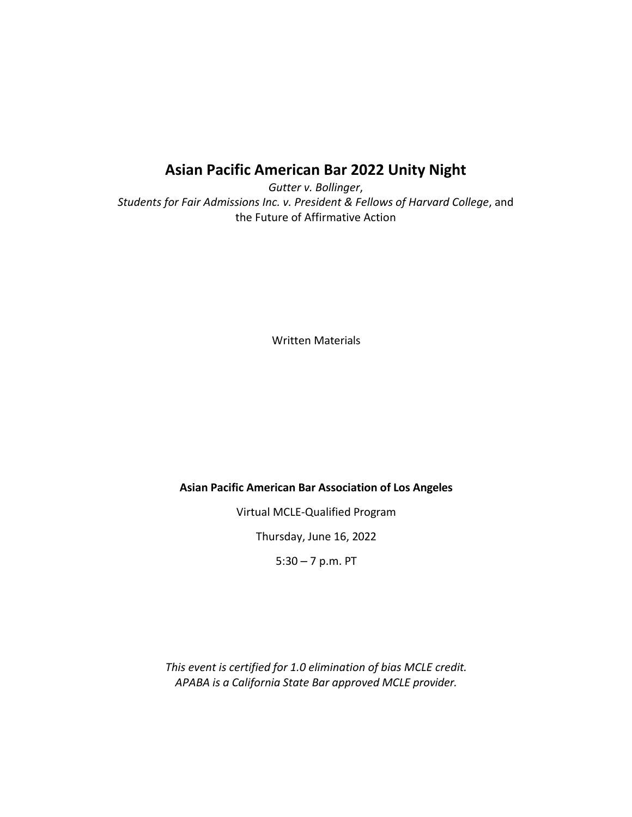# **Asian Pacific American Bar 2022 Unity Night**

*Gutter v. Bollinger*, *Students for Fair Admissions Inc. v. President & Fellows of Harvard College*, and the Future of Affirmative Action

Written Materials

#### **Asian Pacific American Bar Association of Los Angeles**

Virtual MCLE‐Qualified Program

Thursday, June 16, 2022

5:30 – 7 p.m. PT

*This event is certified for 1.0 elimination of bias MCLE credit. APABA is a California State Bar approved MCLE provider.*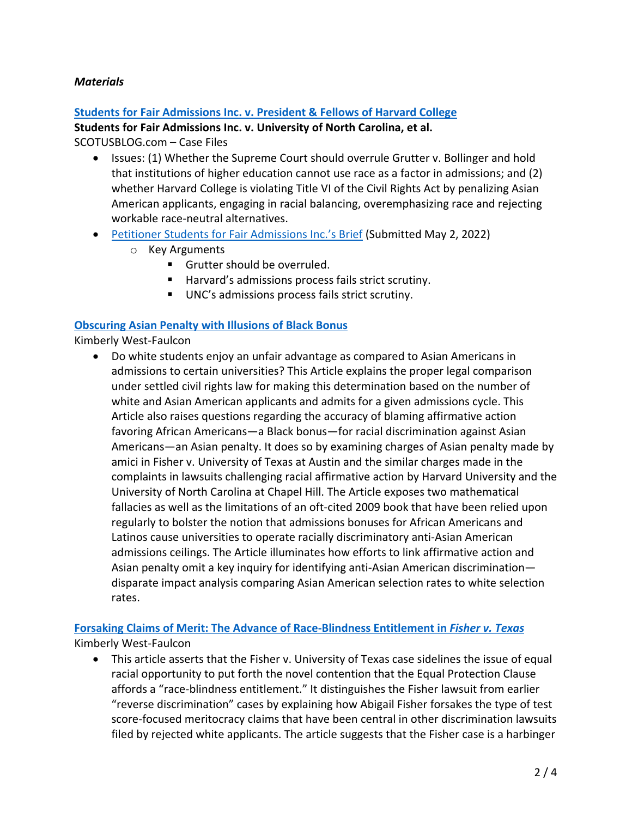## *Materials*

#### **[Students for Fair Admissions Inc. v. President & Fellows of Harvard College](https://www.scotusblog.com/case-files/cases/students-for-fair-admissions-inc-v-president-fellows-of-harvard-college/)**

**Students for Fair Admissions Inc. v. University of North Carolina, et al.**

SCOTUSBLOG.com – Case Files

- Issues: (1) Whether the Supreme Court should overrule Grutter v. Bollinger and hold that institutions of higher education cannot use race as a factor in admissions; and (2) whether Harvard College is violating Title VI of the Civil Rights Act by penalizing Asian American applicants, engaging in racial balancing, overemphasizing race and rejecting workable race-neutral alternatives.
- [Petitioner Students for Fair Admissions Inc.'s Brief](https://www.supremecourt.gov/DocketPDF/20/20-1199/222325/20220502145522418_20-1199%2021-707%20SFFA%20Brief%20to%20file%20final.pdf) (Submitted May 2, 2022)
	- o Key Arguments
		- **Grutter should be overruled.**
		- Harvard's admissions process fails strict scrutiny.
		- UNC's admissions process fails strict scrutiny.

#### **[Obscuring Asian Penalty with Illusions of Black Bonus](https://deliverypdf.ssrn.com/delivery.php?ID=679064026081102071118096118022125078003010031014027056097107102011066121109069077068007100042121052122038094097006109126104102028042064064059120066021107083103025090006010029067009092064020100019085080126068118087113125028093000074026126116120091004&EXT=pdf&INDEX=TRUE)**

Kimberly West-Faulcon

• Do white students enjoy an unfair advantage as compared to Asian Americans in admissions to certain universities? This Article explains the proper legal comparison under settled civil rights law for making this determination based on the number of white and Asian American applicants and admits for a given admissions cycle. This Article also raises questions regarding the accuracy of blaming affirmative action favoring African Americans—a Black bonus—for racial discrimination against Asian Americans—an Asian penalty. It does so by examining charges of Asian penalty made by amici in Fisher v. University of Texas at Austin and the similar charges made in the complaints in lawsuits challenging racial affirmative action by Harvard University and the University of North Carolina at Chapel Hill. The Article exposes two mathematical fallacies as well as the limitations of an oft-cited 2009 book that have been relied upon regularly to bolster the notion that admissions bonuses for African Americans and Latinos cause universities to operate racially discriminatory anti-Asian American admissions ceilings. The Article illuminates how efforts to link affirmative action and Asian penalty omit a key inquiry for identifying anti-Asian American discrimination disparate impact analysis comparing Asian American selection rates to white selection rates.

# **[Forsaking Claims of Merit: The Advance of Race-Blindness Entitlement in](https://deliverypdf.ssrn.com/delivery.php?ID=146002104002005114083110071005005070025064030044042017106100124010070098076114119103032028118024058098026089097091004081081116007052057093054017097127015097031075030045040112119023066020075083110092091004092031077077115096122006077024098115125100002&EXT=pdf&INDEX=TRUE)** *Fisher v. Texas* Kimberly West-Faulcon

• This article asserts that the Fisher v. University of Texas case sidelines the issue of equal racial opportunity to put forth the novel contention that the Equal Protection Clause affords a "race-blindness entitlement." It distinguishes the Fisher lawsuit from earlier "reverse discrimination" cases by explaining how Abigail Fisher forsakes the type of test score-focused meritocracy claims that have been central in other discrimination lawsuits filed by rejected white applicants. The article suggests that the Fisher case is a harbinger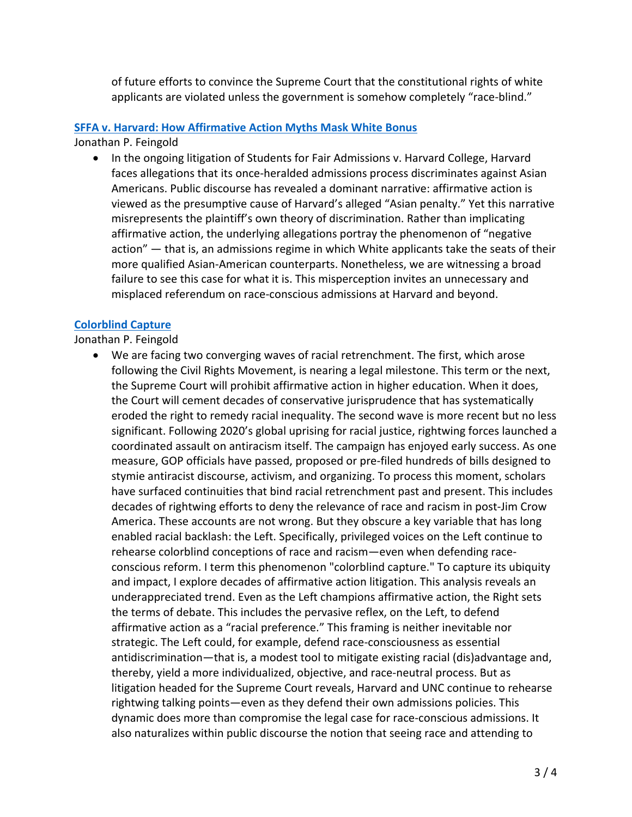of future efforts to convince the Supreme Court that the constitutional rights of white applicants are violated unless the government is somehow completely "race-blind."

## **[SFFA v. Harvard: How Affirmative Action Myths Mask White Bonus](https://deliverypdf.ssrn.com/delivery.php?ID=995103073068091087094077116083001065023073053045056031120087020066073027088007020078011036036121038023044085011121009031088098019006033017032124085089085005112019112021041095098083123031106070003118105125089021003107114123126020100086101015029112123123&EXT=pdf&INDEX=TRUE)**

Jonathan P. Feingold

• In the ongoing litigation of Students for Fair Admissions v. Harvard College, Harvard faces allegations that its once-heralded admissions process discriminates against Asian Americans. Public discourse has revealed a dominant narrative: affirmative action is viewed as the presumptive cause of Harvard's alleged "Asian penalty." Yet this narrative misrepresents the plaintiff's own theory of discrimination. Rather than implicating affirmative action, the underlying allegations portray the phenomenon of "negative action" — that is, an admissions regime in which White applicants take the seats of their more qualified Asian-American counterparts. Nonetheless, we are witnessing a broad failure to see this case for what it is. This misperception invites an unnecessary and misplaced referendum on race-conscious admissions at Harvard and beyond.

# **[Colorblind Capture](https://deliverypdf.ssrn.com/delivery.php?ID=828118110029106066124009104110011107103022085008058030022068119093115088111005064123123000020044011010011088085066084005071000123080054060038066088090094127125105075026059033114097024088096075066123095102064126077111098087074010018087116020100081025102&EXT=pdf&INDEX=TRUE)**

Jonathan P. Feingold

• We are facing two converging waves of racial retrenchment. The first, which arose following the Civil Rights Movement, is nearing a legal milestone. This term or the next, the Supreme Court will prohibit affirmative action in higher education. When it does, the Court will cement decades of conservative jurisprudence that has systematically eroded the right to remedy racial inequality. The second wave is more recent but no less significant. Following 2020's global uprising for racial justice, rightwing forces launched a coordinated assault on antiracism itself. The campaign has enjoyed early success. As one measure, GOP officials have passed, proposed or pre-filed hundreds of bills designed to stymie antiracist discourse, activism, and organizing. To process this moment, scholars have surfaced continuities that bind racial retrenchment past and present. This includes decades of rightwing efforts to deny the relevance of race and racism in post-Jim Crow America. These accounts are not wrong. But they obscure a key variable that has long enabled racial backlash: the Left. Specifically, privileged voices on the Left continue to rehearse colorblind conceptions of race and racism—even when defending raceconscious reform. I term this phenomenon "colorblind capture." To capture its ubiquity and impact, I explore decades of affirmative action litigation. This analysis reveals an underappreciated trend. Even as the Left champions affirmative action, the Right sets the terms of debate. This includes the pervasive reflex, on the Left, to defend affirmative action as a "racial preference." This framing is neither inevitable nor strategic. The Left could, for example, defend race-consciousness as essential antidiscrimination—that is, a modest tool to mitigate existing racial (dis)advantage and, thereby, yield a more individualized, objective, and race-neutral process. But as litigation headed for the Supreme Court reveals, Harvard and UNC continue to rehearse rightwing talking points—even as they defend their own admissions policies. This dynamic does more than compromise the legal case for race-conscious admissions. It also naturalizes within public discourse the notion that seeing race and attending to